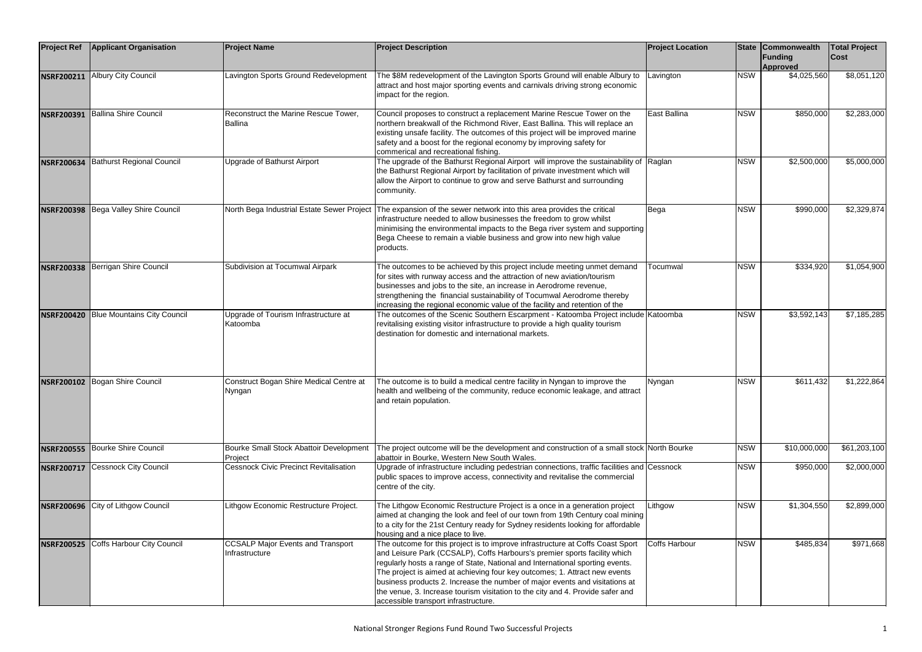| <b>Project Ref</b> | <b>Applicant Organisation</b>      | <b>Project Name</b>                                        | <b>Project Description</b>                                                                                                                                                                                                                                                                                                                                                                                                                                                                                                          | <b>Project Location</b> |            | <b>State Commonwealth</b><br>Funding<br>Approved | <b>Total Project</b><br><b>Cost</b> |
|--------------------|------------------------------------|------------------------------------------------------------|-------------------------------------------------------------------------------------------------------------------------------------------------------------------------------------------------------------------------------------------------------------------------------------------------------------------------------------------------------------------------------------------------------------------------------------------------------------------------------------------------------------------------------------|-------------------------|------------|--------------------------------------------------|-------------------------------------|
|                    | NSRF200211 Albury City Council     | Lavington Sports Ground Redevelopment                      | The \$8M redevelopment of the Lavington Sports Ground will enable Albury to<br>attract and host major sporting events and carnivals driving strong economic<br>impact for the region.                                                                                                                                                                                                                                                                                                                                               | Lavington               | <b>NSW</b> | \$4,025,560                                      | \$8,051,120                         |
| <b>NSRF200391</b>  | <b>Ballina Shire Council</b>       | Reconstruct the Marine Rescue Tower,<br><b>Ballina</b>     | Council proposes to construct a replacement Marine Rescue Tower on the<br>northern breakwall of the Richmond River, East Ballina. This will replace an<br>existing unsafe facility. The outcomes of this project will be improved marine<br>safety and a boost for the regional economy by improving safety for<br>commerical and recreational fishing.                                                                                                                                                                             | East Ballina            | <b>NSW</b> | \$850,000                                        | \$2,283,000                         |
| <b>NSRF200634</b>  | <b>Bathurst Regional Council</b>   | Upgrade of Bathurst Airport                                | The upgrade of the Bathurst Regional Airport will improve the sustainability of Raglan<br>the Bathurst Regional Airport by facilitation of private investment which will<br>allow the Airport to continue to grow and serve Bathurst and surrounding<br>community.                                                                                                                                                                                                                                                                  |                         | <b>NSW</b> | \$2,500,000                                      | \$5,000,000                         |
| <b>NSRF200398</b>  | Bega Valley Shire Council          | North Bega Industrial Estate Sewer Project                 | The expansion of the sewer network into this area provides the critical<br>infrastructure needed to allow businesses the freedom to grow whilst<br>minimising the environmental impacts to the Bega river system and supporting<br>Bega Cheese to remain a viable business and grow into new high value<br>products.                                                                                                                                                                                                                | Bega                    | <b>NSW</b> | \$990,000                                        | \$2,329,874                         |
| <b>NSRF200338</b>  | Berrigan Shire Council             | Subdivision at Tocumwal Airpark                            | The outcomes to be achieved by this project include meeting unmet demand<br>for sites with runway access and the attraction of new aviation/tourism<br>businesses and jobs to the site, an increase in Aerodrome revenue,<br>strengthening the financial sustainability of Tocumwal Aerodrome thereby<br>increasing the regional economic value of the facility and retention of the                                                                                                                                                | Tocumwal                | <b>NSW</b> | \$334,920                                        | \$1,054,900                         |
| <b>NSRF200420</b>  | <b>Blue Mountains City Council</b> | Upgrade of Tourism Infrastructure at<br>Katoomba           | The outcomes of the Scenic Southern Escarpment - Katoomba Project include Katoomba<br>revitalising existing visitor infrastructure to provide a high quality tourism<br>destination for domestic and international markets.                                                                                                                                                                                                                                                                                                         |                         | <b>NSW</b> | \$3,592,143                                      | \$7,185,285                         |
|                    | NSRF200102 Bogan Shire Council     | Construct Bogan Shire Medical Centre at<br>Nyngan          | The outcome is to build a medical centre facility in Nyngan to improve the<br>health and wellbeing of the community, reduce economic leakage, and attract<br>and retain population.                                                                                                                                                                                                                                                                                                                                                 | Nyngan                  | <b>NSW</b> | \$611,432                                        | \$1,222,864                         |
| <b>NSRF200555</b>  | Bourke Shire Council               | Bourke Small Stock Abattoir Development<br>Project         | The project outcome will be the development and construction of a small stock North Bourke<br>abattoir in Bourke, Western New South Wales.                                                                                                                                                                                                                                                                                                                                                                                          |                         | <b>NSW</b> | \$10,000,000                                     | \$61,203,100                        |
| <b>NSRF200717</b>  | <b>Cessnock City Council</b>       | <b>Cessnock Civic Precinct Revitalisation</b>              | Upgrade of infrastructure including pedestrian connections, traffic facilities and Cessnock<br>public spaces to improve access, connectivity and revitalise the commercial<br>centre of the city.                                                                                                                                                                                                                                                                                                                                   |                         | <b>NSW</b> | \$950,000                                        | \$2,000,000                         |
| <b>NSRF200696</b>  | City of Lithgow Council            | Lithgow Economic Restructure Project.                      | The Lithgow Economic Restructure Project is a once in a generation project<br>aimed at changing the look and feel of our town from 19th Century coal mining<br>to a city for the 21st Century ready for Sydney residents looking for affordable<br>housing and a nice place to live.                                                                                                                                                                                                                                                | Lithgow                 | <b>NSW</b> | \$1,304,550                                      | \$2,899,000                         |
| <b>NSRF200525</b>  | <b>Coffs Harbour City Council</b>  | <b>CCSALP Major Events and Transport</b><br>Infrastructure | The outcome for this project is to improve infrastructure at Coffs Coast Sport<br>and Leisure Park (CCSALP), Coffs Harbours's premier sports facility which<br>regularly hosts a range of State, National and International sporting events.<br>The project is aimed at achieving four key outcomes; 1. Attract new events<br>business products 2. Increase the number of major events and visitations at<br>the venue, 3. Increase tourism visitation to the city and 4. Provide safer and<br>accessible transport infrastructure. | <b>Coffs Harbour</b>    | <b>NSW</b> | \$485,834                                        | \$971,668                           |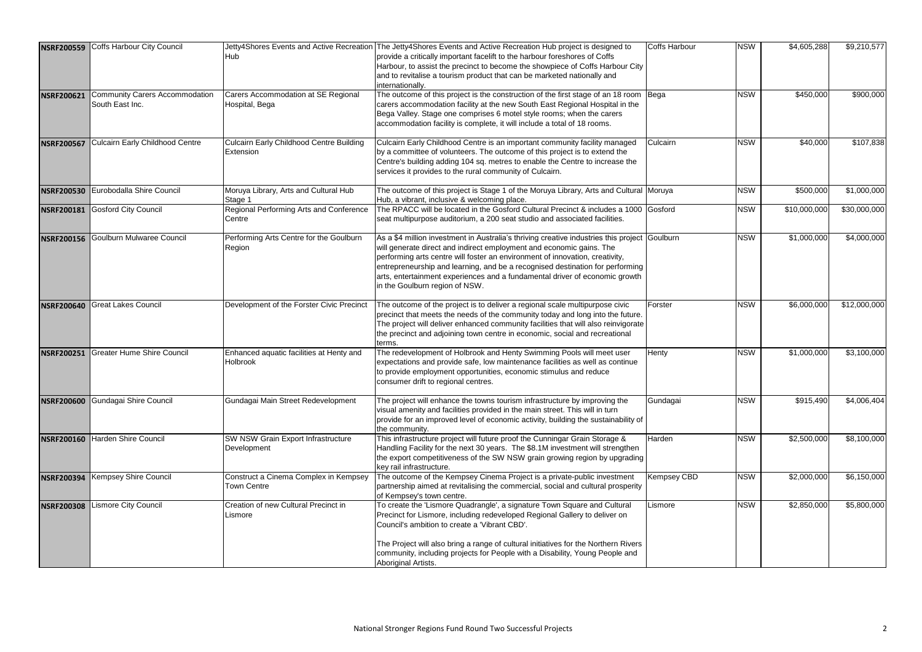| <b>NSRF200559</b> | Coffs Harbour City Council                        |                                                              | Jetty4Shores Events and Active Recreation The Jetty4Shores Events and Active Recreation Hub project is designed to                                                                                                                                                                                                                                                                                                                                      | Coffs Harbour | <b>NSW</b> | \$4,605,288  | \$9,210,577  |
|-------------------|---------------------------------------------------|--------------------------------------------------------------|---------------------------------------------------------------------------------------------------------------------------------------------------------------------------------------------------------------------------------------------------------------------------------------------------------------------------------------------------------------------------------------------------------------------------------------------------------|---------------|------------|--------------|--------------|
|                   |                                                   | Hub                                                          | provide a critically important facelift to the harbour foreshores of Coffs<br>Harbour, to assist the precinct to become the showpiece of Coffs Harbour City<br>and to revitalise a tourism product that can be marketed nationally and<br>internationally.                                                                                                                                                                                              |               |            |              |              |
| <b>NSRF200621</b> | Community Carers Accommodation<br>South East Inc. | Carers Accommodation at SE Regional<br>Hospital, Bega        | The outcome of this project is the construction of the first stage of an 18 room Bega<br>carers accommodation facility at the new South East Regional Hospital in the<br>Bega Valley. Stage one comprises 6 motel style rooms; when the carers<br>accommodation facility is complete, it will include a total of 18 rooms.                                                                                                                              |               | <b>NSW</b> | \$450,000    | \$900,000    |
| <b>NSRF200567</b> | <b>Culcairn Early Childhood Centre</b>            | <b>Culcairn Early Childhood Centre Building</b><br>Extension | Culcairn Early Childhood Centre is an important community facility managed<br>by a committee of volunteers. The outcome of this project is to extend the<br>Centre's building adding 104 sq. metres to enable the Centre to increase the<br>services it provides to the rural community of Culcairn.                                                                                                                                                    | Culcairn      | <b>NSW</b> | \$40,000     | \$107,838    |
| <b>NSRF200530</b> | Eurobodalla Shire Council                         | Moruya Library, Arts and Cultural Hub<br>Stage 1             | The outcome of this project is Stage 1 of the Moruya Library, Arts and Cultural Moruya<br>Hub, a vibrant, inclusive & welcoming place.                                                                                                                                                                                                                                                                                                                  |               | <b>NSW</b> | \$500,000    | \$1,000,000  |
| <b>NSRF200181</b> | <b>Gosford City Council</b>                       | Regional Performing Arts and Conference<br>Centre            | The RPACC will be located in the Gosford Cultural Precinct & includes a 1000 Gosford<br>seat multipurpose auditorium, a 200 seat studio and associated facilities.                                                                                                                                                                                                                                                                                      |               | <b>NSW</b> | \$10,000,000 | \$30,000,000 |
| <b>NSRF200156</b> | Goulburn Mulwaree Council                         | Performing Arts Centre for the Goulburn<br>Region            | As a \$4 million investment in Australia's thriving creative industries this project Goulburn<br>will generate direct and indirect employment and economic gains. The<br>performing arts centre will foster an environment of innovation, creativity,<br>entrepreneurship and learning, and be a recognised destination for performing<br>arts, entertainment experiences and a fundamental driver of economic growth<br>in the Goulburn region of NSW. |               | <b>NSW</b> | \$1,000,000  | \$4,000,000  |
| <b>NSRF200640</b> | <b>Great Lakes Council</b>                        | Development of the Forster Civic Precinct                    | The outcome of the project is to deliver a regional scale multipurpose civic<br>precinct that meets the needs of the community today and long into the future.<br>The project will deliver enhanced community facilities that will also reinvigorate<br>the precinct and adjoining town centre in economic, social and recreational<br>terms                                                                                                            | Forster       | <b>NSW</b> | \$6,000,000  | \$12,000,000 |
| <b>NSRF200251</b> | <b>Greater Hume Shire Council</b>                 | Enhanced aquatic facilities at Henty and<br><b>Holbrook</b>  | The redevelopment of Holbrook and Henty Swimming Pools will meet user<br>expectations and provide safe, low maintenance facilities as well as continue<br>to provide employment opportunities, economic stimulus and reduce<br>consumer drift to regional centres.                                                                                                                                                                                      | Henty         | <b>NSW</b> | \$1,000,000  | \$3,100,000  |
| <b>NSRF200600</b> | Gundagai Shire Council                            | Gundagai Main Street Redevelopment                           | The project will enhance the towns tourism infrastructure by improving the<br>visual amenity and facilities provided in the main street. This will in turn<br>provide for an improved level of economic activity, building the sustainability of<br>the community.                                                                                                                                                                                      | Gundagai      | <b>NSW</b> | \$915,490    | \$4,006,404  |
| <b>NSRF200160</b> | <b>Harden Shire Council</b>                       | SW NSW Grain Export Infrastructure<br>Development            | This infrastructure project will future proof the Cunningar Grain Storage &<br>Handling Facility for the next 30 years. The \$8.1M investment will strengthen<br>the export competitiveness of the SW NSW grain growing region by upgrading<br>key rail infrastructure.                                                                                                                                                                                 | Harden        | <b>NSW</b> | \$2,500,000  | \$8,100,000  |
| <b>NSRF200394</b> | Kempsey Shire Council                             | Construct a Cinema Complex in Kempsey<br><b>Town Centre</b>  | The outcome of the Kempsey Cinema Project is a private-public investment<br>partnership aimed at revitalising the commercial, social and cultural prosperity<br>of Kempsey's town centre.                                                                                                                                                                                                                                                               | Kempsey CBD   | <b>NSW</b> | \$2,000,000  | \$6,150,000  |
| <b>NSRF200308</b> | <b>Lismore City Council</b>                       | Creation of new Cultural Precinct in<br>Lismore              | To create the 'Lismore Quadrangle', a signature Town Square and Cultural<br>Precinct for Lismore, including redeveloped Regional Gallery to deliver on<br>Council's ambition to create a 'Vibrant CBD'.                                                                                                                                                                                                                                                 | Lismore       | <b>NSW</b> | \$2,850,000  | \$5,800,000  |
|                   |                                                   |                                                              | The Project will also bring a range of cultural initiatives for the Northern Rivers<br>community, including projects for People with a Disability, Young People and<br>Aboriginal Artists.                                                                                                                                                                                                                                                              |               |            |              |              |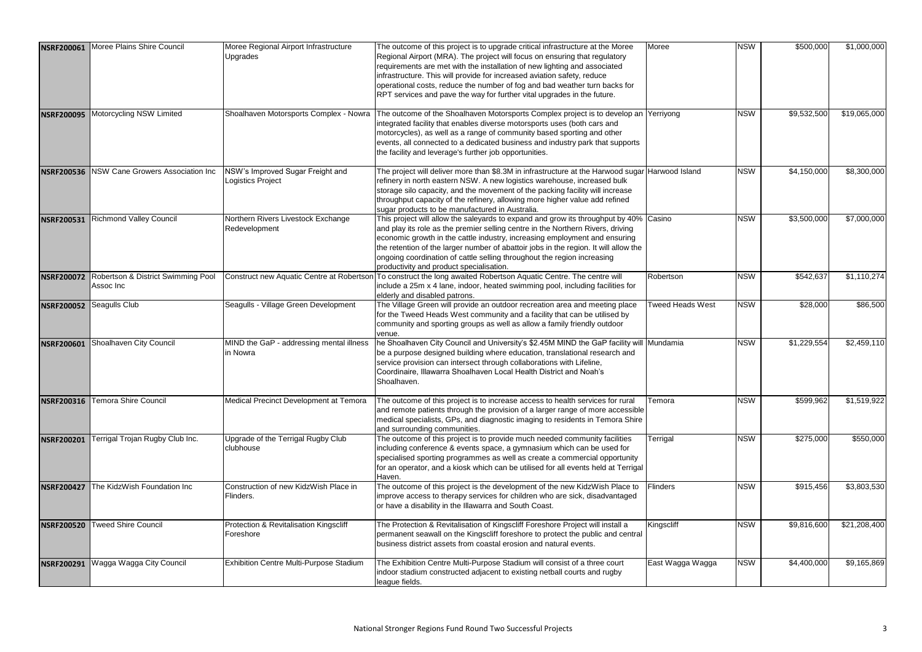| <b>NSRF200061</b> | Moree Plains Shire Council                      | Moree Regional Airport Infrastructure<br>Upgrades     | The outcome of this project is to upgrade critical infrastructure at the Moree<br>Regional Airport (MRA). The project will focus on ensuring that regulatory                                                                                                                                                                                                                                                                                                          | Moree                   | <b>NSW</b> | \$500,000   | \$1,000,000  |
|-------------------|-------------------------------------------------|-------------------------------------------------------|-----------------------------------------------------------------------------------------------------------------------------------------------------------------------------------------------------------------------------------------------------------------------------------------------------------------------------------------------------------------------------------------------------------------------------------------------------------------------|-------------------------|------------|-------------|--------------|
|                   |                                                 |                                                       | requirements are met with the installation of new lighting and associated<br>infrastructure. This will provide for increased aviation safety, reduce<br>operational costs, reduce the number of fog and bad weather turn backs for<br>RPT services and pave the way for further vital upgrades in the future.                                                                                                                                                         |                         |            |             |              |
| <b>NSRF200095</b> | Motorcycling NSW Limited                        |                                                       | Shoalhaven Motorsports Complex - Nowra The outcome of the Shoalhaven Motorsports Complex project is to develop an Yerriyong<br>integrated facility that enables diverse motorsports uses (both cars and<br>motorcycles), as well as a range of community based sporting and other<br>events, all connected to a dedicated business and industry park that supports<br>the facility and leverage's further job opportunities.                                          |                         | <b>NSW</b> | \$9,532,500 | \$19,065,000 |
| <b>NSRF200536</b> | NSW Cane Growers Association Inc                | NSW's Improved Sugar Freight and<br>Logistics Project | The project will deliver more than \$8.3M in infrastructure at the Harwood sugar Harwood Island<br>refinery in north eastern NSW. A new logistics warehouse, increased bulk<br>storage silo capacity, and the movement of the packing facility will increase<br>throughput capacity of the refinery, allowing more higher value add refined<br>sugar products to be manufactured in Australia.                                                                        |                         | <b>NSW</b> | \$4,150,000 | \$8,300,000  |
| <b>NSRF200531</b> | <b>Richmond Valley Council</b>                  | Northern Rivers Livestock Exchange<br>Redevelopment   | This project will allow the saleyards to expand and grow its throughput by 40% Casino<br>and play its role as the premier selling centre in the Northern Rivers, driving<br>economic growth in the cattle industry, increasing employment and ensuring<br>the retention of the larger number of abattoir jobs in the region. It will allow the<br>ongoing coordination of cattle selling throughout the region increasing<br>productivity and product specialisation. |                         | <b>NSW</b> | \$3,500,000 | \$7,000,000  |
| <b>NSRF200072</b> | Robertson & District Swimming Pool<br>Assoc Inc |                                                       | Construct new Aquatic Centre at Robertson To construct the long awaited Robertson Aquatic Centre. The centre will<br>include a 25m x 4 lane, indoor, heated swimming pool, including facilities for<br>elderly and disabled patrons.                                                                                                                                                                                                                                  | Robertson               | <b>NSW</b> | \$542,637   | \$1,110,274  |
| <b>NSRF200052</b> | Seagulls Club                                   | Seagulls - Village Green Development                  | The Village Green will provide an outdoor recreation area and meeting place<br>for the Tweed Heads West community and a facility that can be utilised by<br>community and sporting groups as well as allow a family friendly outdoor<br>venue.                                                                                                                                                                                                                        | <b>Tweed Heads West</b> | <b>NSW</b> | \$28,000    | \$86,500     |
| <b>NSRF200601</b> | Shoalhaven City Council                         | MIND the GaP - addressing mental illness<br>in Nowra  | he Shoalhaven City Council and University's \$2.45M MIND the GaP facility will Mundamia<br>be a purpose designed building where education, translational research and<br>service provision can intersect through collaborations with Lifeline,<br>Coordinaire, Illawarra Shoalhaven Local Health District and Noah's<br>Shoalhaven.                                                                                                                                   |                         | <b>NSW</b> | \$1,229,554 | \$2,459,110  |
| <b>NSRF200316</b> | <b>Temora Shire Council</b>                     | Medical Precinct Development at Temora                | The outcome of this project is to increase access to health services for rural<br>and remote patients through the provision of a larger range of more accessible<br>medical specialists, GPs, and diagnostic imaging to residents in Temora Shire<br>and surrounding communities.                                                                                                                                                                                     | Temora                  | <b>NSW</b> | \$599,962   | \$1,519,922  |
| <b>NSRF200201</b> | Terrigal Trojan Rugby Club Inc.                 | Upgrade of the Terrigal Rugby Club<br>clubhouse       | The outcome of this project is to provide much needed community facilities<br>including conference & events space, a gymnasium which can be used for<br>specialised sporting programmes as well as create a commercial opportunity<br>for an operator, and a kiosk which can be utilised for all events held at Terrigal<br>Haven.                                                                                                                                    | Terrigal                | <b>NSW</b> | \$275,000   | \$550,000    |
| <b>NSRF200427</b> | The KidzWish Foundation Inc                     | Construction of new KidzWish Place in<br>Flinders.    | The outcome of this project is the development of the new KidzWish Place to<br>improve access to therapy services for children who are sick, disadvantaged<br>or have a disability in the Illawarra and South Coast.                                                                                                                                                                                                                                                  | <b>Flinders</b>         | <b>NSW</b> | \$915,456   | \$3,803,530  |
| <b>NSRF200520</b> | <b>Tweed Shire Council</b>                      | Protection & Revitalisation Kingscliff<br>Foreshore   | The Protection & Revitalisation of Kingscliff Foreshore Project will install a<br>permanent seawall on the Kingscliff foreshore to protect the public and central<br>business district assets from coastal erosion and natural events.                                                                                                                                                                                                                                | Kingscliff              | <b>NSW</b> | \$9,816,600 | \$21,208,400 |
| <b>NSRF200291</b> | Wagga Wagga City Council                        | Exhibition Centre Multi-Purpose Stadium               | The Exhibition Centre Multi-Purpose Stadium will consist of a three court<br>indoor stadium constructed adjacent to existing netball courts and rugby<br>league fields.                                                                                                                                                                                                                                                                                               | East Wagga Wagga        | <b>NSW</b> | \$4,400,000 | \$9,165,869  |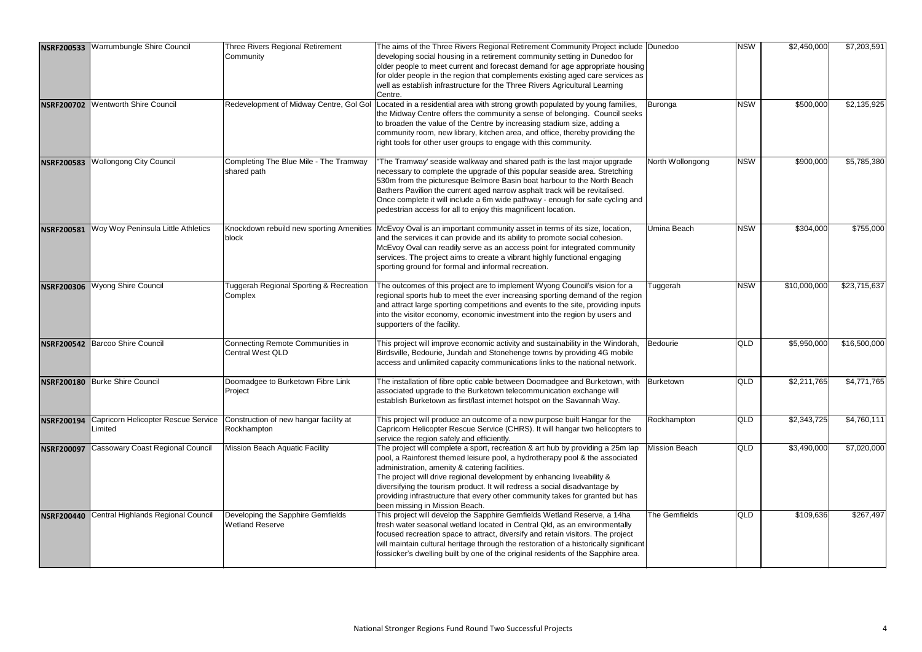| <b>NSRF200533</b> | Warrumbungle Shire Council                     | <b>Three Rivers Regional Retirement</b><br>Community        | The aims of the Three Rivers Regional Retirement Community Project include   Dunedoo<br>developing social housing in a retirement community setting in Dunedoo for<br>older people to meet current and forecast demand for age appropriate housing<br>for older people in the region that complements existing aged care services as<br>well as establish infrastructure for the Three Rivers Agricultural Learning<br>Centre.                                                              |                  | <b>NSW</b> | \$2,450,000  | \$7,203,591  |
|-------------------|------------------------------------------------|-------------------------------------------------------------|---------------------------------------------------------------------------------------------------------------------------------------------------------------------------------------------------------------------------------------------------------------------------------------------------------------------------------------------------------------------------------------------------------------------------------------------------------------------------------------------|------------------|------------|--------------|--------------|
| <b>NSRF200702</b> | Wentworth Shire Council                        | Redevelopment of Midway Centre, Gol Gol                     | Located in a residential area with strong growth populated by young families,<br>the Midway Centre offers the community a sense of belonging. Council seeks<br>to broaden the value of the Centre by increasing stadium size, adding a<br>community room, new library, kitchen area, and office, thereby providing the<br>right tools for other user groups to engage with this community.                                                                                                  | Buronga          | <b>NSW</b> | \$500,000    | \$2,135,925  |
| <b>NSRF200583</b> | <b>Wollongong City Council</b>                 | Completing The Blue Mile - The Tramway<br>shared path       | "The Tramway' seaside walkway and shared path is the last major upgrade<br>necessary to complete the upgrade of this popular seaside area. Stretching<br>530m from the picturesque Belmore Basin boat harbour to the North Beach<br>Bathers Pavilion the current aged narrow asphalt track will be revitalised.<br>Once complete it will include a 6m wide pathway - enough for safe cycling and<br>pedestrian access for all to enjoy this magnificent location.                           | North Wollongong | <b>NSW</b> | \$900,000    | \$5,785,380  |
| <b>NSRF200581</b> | Woy Woy Peninsula Little Athletics             | Knockdown rebuild new sporting Amenities<br>block           | McEvoy Oval is an important community asset in terms of its size, location,<br>and the services it can provide and its ability to promote social cohesion.<br>McEvoy Oval can readily serve as an access point for integrated community<br>services. The project aims to create a vibrant highly functional engaging<br>sporting ground for formal and informal recreation.                                                                                                                 | Umina Beach      | <b>NSW</b> | \$304,000    | \$755,000    |
|                   | NSRF200306 Wyong Shire Council                 | Tuggerah Regional Sporting & Recreation<br>Complex          | The outcomes of this project are to implement Wyong Council's vision for a<br>regional sports hub to meet the ever increasing sporting demand of the region<br>and attract large sporting competitions and events to the site, providing inputs<br>into the visitor economy, economic investment into the region by users and<br>supporters of the facility.                                                                                                                                | Tuggerah         | <b>NSW</b> | \$10,000,000 | \$23,715,637 |
| <b>NSRF200542</b> | <b>Barcoo Shire Council</b>                    | Connecting Remote Communities in<br><b>Central West QLD</b> | This project will improve economic activity and sustainability in the Windorah,<br>Birdsville, Bedourie, Jundah and Stonehenge towns by providing 4G mobile<br>access and unlimited capacity communications links to the national network.                                                                                                                                                                                                                                                  | Bedourie         | <b>QLD</b> | \$5,950,000  | \$16,500,000 |
|                   | NSRF200180 Burke Shire Council                 | Doomadgee to Burketown Fibre Link<br>Project                | The installation of fibre optic cable between Doomadgee and Burketown, with Burketown<br>associated upgrade to the Burketown telecommunication exchange will<br>establish Burketown as first/last internet hotspot on the Savannah Way.                                                                                                                                                                                                                                                     |                  | <b>QLD</b> | \$2,211,765  | \$4,771,765  |
| <b>NSRF200194</b> | Capricorn Helicopter Rescue Service<br>Limited | Construction of new hangar facility at<br>Rockhampton       | This project will produce an outcome of a new purpose built Hangar for the<br>Capricorn Helicopter Rescue Service (CHRS). It will hangar two helicopters to<br>service the region safely and efficiently.                                                                                                                                                                                                                                                                                   | Rockhampton      | <b>QLD</b> | \$2,343,725  | \$4,760,111  |
| <b>NSRF200097</b> | <b>Cassowary Coast Regional Council</b>        | Mission Beach Aquatic Facility                              | The project will complete a sport, recreation & art hub by providing a 25m lap<br>pool, a Rainforest themed leisure pool, a hydrotherapy pool & the associated<br>administration, amenity & catering facilities.<br>The project will drive regional development by enhancing liveability &<br>diversifying the tourism product. It will redress a social disadvantage by<br>providing infrastructure that every other community takes for granted but has<br>been missing in Mission Beach. | Mission Beach    | <b>QLD</b> | \$3,490,000  | \$7,020,000  |
| <b>NSRF200440</b> | Central Highlands Regional Council             | Developing the Sapphire Gemfields<br><b>Wetland Reserve</b> | This project will develop the Sapphire Gemfields Wetland Reserve, a 14ha<br>fresh water seasonal wetland located in Central Qld, as an environmentally<br>focused recreation space to attract, diversify and retain visitors. The project<br>will maintain cultural heritage through the restoration of a historically significant<br>fossicker's dwelling built by one of the original residents of the Sapphire area.                                                                     | The Gemfields    | <b>QLD</b> | \$109,636    | \$267,497    |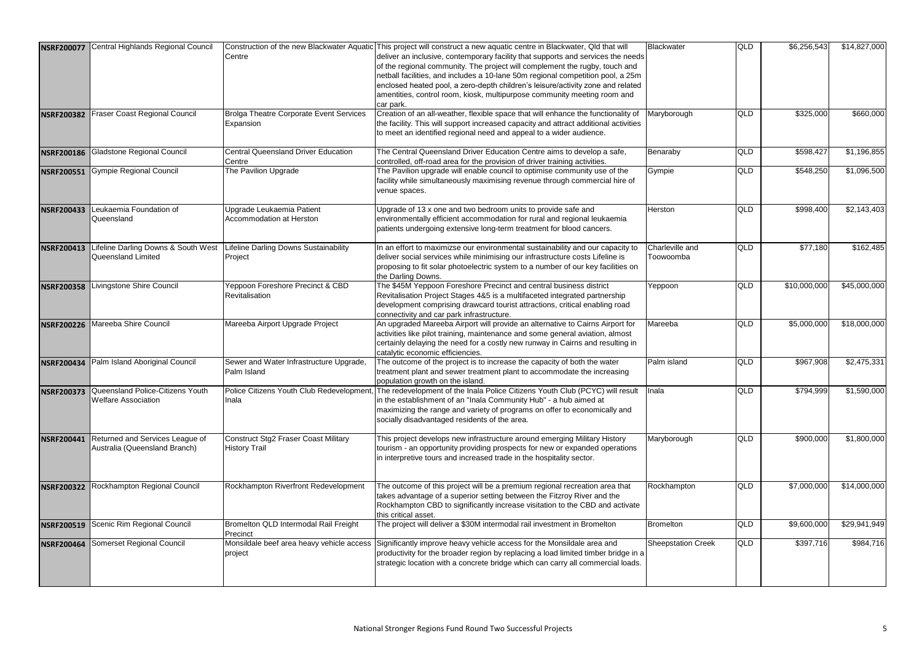| <b>NSRF200077</b> | Central Highlands Regional Council                                        | Centre                                                              | Construction of the new Blackwater Aquatic This project will construct a new aquatic centre in Blackwater, Qld that will<br>deliver an inclusive, contemporary facility that supports and services the needs<br>of the regional community. The project will complement the rugby, touch and<br>netball facilities, and includes a 10-lane 50m regional competition pool, a 25m | Blackwater                   | <b>QLD</b> | \$6,256,543  | \$14,827,000 |
|-------------------|---------------------------------------------------------------------------|---------------------------------------------------------------------|--------------------------------------------------------------------------------------------------------------------------------------------------------------------------------------------------------------------------------------------------------------------------------------------------------------------------------------------------------------------------------|------------------------------|------------|--------------|--------------|
|                   |                                                                           |                                                                     | enclosed heated pool, a zero-depth children's leisure/activity zone and related<br>amentities, control room, kiosk, multipurpose community meeting room and<br>car park.                                                                                                                                                                                                       |                              |            |              |              |
| <b>NSRF200382</b> | Fraser Coast Regional Council                                             | <b>Brolga Theatre Corporate Event Services</b><br>Expansion         | Creation of an all-weather, flexible space that will enhance the functionality of<br>the facility. This will support increased capacity and attract additional activities<br>to meet an identified regional need and appeal to a wider audience.                                                                                                                               | Maryborough                  | <b>QLD</b> | \$325,000    | \$660,000    |
| <b>NSRF200186</b> | <b>Gladstone Regional Council</b>                                         | <b>Central Queensland Driver Education</b><br>Centre                | The Central Queensland Driver Education Centre aims to develop a safe,<br>controlled, off-road area for the provision of driver training activities.                                                                                                                                                                                                                           | Benaraby                     | QLD        | \$598,427    | \$1,196,855  |
| <b>NSRF200551</b> | <b>Gympie Regional Council</b>                                            | The Pavilion Upgrade                                                | The Pavilion upgrade will enable council to optimise community use of the<br>facility while simultaneously maximising revenue through commercial hire of<br>venue spaces.                                                                                                                                                                                                      | Gympie                       | QLD        | \$548,250    | \$1,096,500  |
| <b>NSRF200433</b> | Leukaemia Foundation of<br>Queensland                                     | Upgrade Leukaemia Patient<br>Accommodation at Herston               | Upgrade of 13 x one and two bedroom units to provide safe and<br>environmentally efficient accommodation for rural and regional leukaemia<br>patients undergoing extensive long-term treatment for blood cancers.                                                                                                                                                              | Herston                      | <b>QLD</b> | \$998,400    | \$2,143,403  |
| <b>NSRF200413</b> | Lifeline Darling Downs & South West<br>Queensland Limited                 | Lifeline Darling Downs Sustainability<br>Project                    | In an effort to maximizse our environmental sustainability and our capacity to<br>deliver social services while minimising our infrastructure costs Lifeline is<br>proposing to fit solar photoelectric system to a number of our key facilities on<br>the Darling Downs.                                                                                                      | Charleville and<br>Toowoomba | <b>QLD</b> | \$77,180     | \$162,485    |
| <b>NSRF200358</b> | Livingstone Shire Council                                                 | Yeppoon Foreshore Precinct & CBD<br>Revitalisation                  | The \$45M Yeppoon Foreshore Precinct and central business district<br>Revitalisation Project Stages 4&5 is a multifaceted integrated partnership<br>development comprising drawcard tourist attractions, critical enabling road<br>connectivity and car park infrastructure.                                                                                                   | Yeppoon                      | <b>QLD</b> | \$10,000,000 | \$45,000,000 |
| <b>NSRF200226</b> | Mareeba Shire Council                                                     | Mareeba Airport Upgrade Project                                     | An upgraded Mareeba Airport will provide an alternative to Cairns Airport for<br>activities like pilot training, maintenance and some general aviation, almost<br>certainly delaying the need for a costly new runway in Cairns and resulting in<br>catalytic economic efficiencies.                                                                                           | Mareeba                      | QLD        | \$5,000,000  | \$18,000,000 |
| <b>NSRF200434</b> | Palm Island Aboriginal Council                                            | Sewer and Water Infrastructure Upgrade,<br>Palm Island              | The outcome of the project is to increase the capacity of both the water<br>treatment plant and sewer treatment plant to accommodate the increasing<br>population growth on the island.                                                                                                                                                                                        | Palm island                  | QLD        | \$967,908    | \$2,475,331  |
|                   | NSRF200373 Queensland Police-Citizens Youth<br><b>Welfare Association</b> | Inala                                                               | Police Citizens Youth Club Redevelopment, The redevelopment of the Inala Police Citizens Youth Club (PCYC) will result<br>in the establishment of an "Inala Community Hub" - a hub aimed at<br>maximizing the range and variety of programs on offer to economically and<br>socially disadvantaged residents of the area.                                                      | <b>Inala</b>                 | <b>QLD</b> | \$794,999    | \$1,590,000  |
| <b>NSRF200441</b> | Returned and Services League of<br>Australia (Queensland Branch)          | <b>Construct Stg2 Fraser Coast Military</b><br><b>History Trail</b> | This project develops new infrastructure around emerging Military History<br>tourism - an opportunity providing prospects for new or expanded operations<br>in interpretive tours and increased trade in the hospitality sector.                                                                                                                                               | Maryborough                  | <b>QLD</b> | \$900,000    | \$1,800,000  |
| <b>NSRF200322</b> | Rockhampton Regional Council                                              | Rockhampton Riverfront Redevelopment                                | The outcome of this project will be a premium regional recreation area that<br>takes advantage of a superior setting between the Fitzroy River and the<br>Rockhampton CBD to significantly increase visitation to the CBD and activate<br>this critical asset.                                                                                                                 | Rockhampton                  | <b>QLD</b> | \$7,000,000  | \$14,000,000 |
| <b>NSRF200519</b> | Scenic Rim Regional Council                                               | Bromelton QLD Intermodal Rail Freight<br>Precinct                   | The project will deliver a \$30M intermodal rail investment in Bromelton                                                                                                                                                                                                                                                                                                       | <b>Bromelton</b>             | QLD        | \$9,600,000  | \$29,941,949 |
| <b>NSRF200464</b> | Somerset Regional Council                                                 | Monsildale beef area heavy vehicle access<br>project                | Significantly improve heavy vehicle access for the Monsildale area and<br>productivity for the broader region by replacing a load limited timber bridge in a<br>strategic location with a concrete bridge which can carry all commercial loads.                                                                                                                                | <b>Sheepstation Creek</b>    | <b>QLD</b> | \$397,716    | \$984,716    |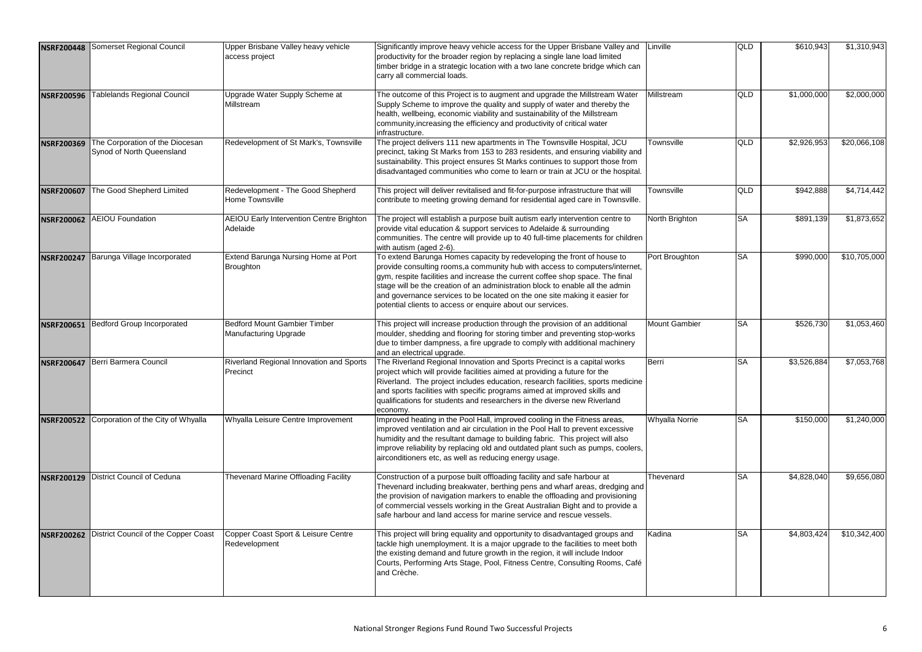| <b>NSRF200448</b> | Somerset Regional Council                                    | Upper Brisbane Valley heavy vehicle<br>access project               | Significantly improve heavy vehicle access for the Upper Brisbane Valley and<br>productivity for the broader region by replacing a single lane load limited<br>timber bridge in a strategic location with a two lane concrete bridge which can<br>carry all commercial loads.                                                                                                                                                                                       | Linville              | <b>QLD</b> | \$610,943   | \$1,310,943  |
|-------------------|--------------------------------------------------------------|---------------------------------------------------------------------|---------------------------------------------------------------------------------------------------------------------------------------------------------------------------------------------------------------------------------------------------------------------------------------------------------------------------------------------------------------------------------------------------------------------------------------------------------------------|-----------------------|------------|-------------|--------------|
| <b>NSRF200596</b> | Tablelands Regional Council                                  | Upgrade Water Supply Scheme at<br>Millstream                        | The outcome of this Project is to augment and upgrade the Millstream Water<br>Supply Scheme to improve the quality and supply of water and thereby the<br>health, wellbeing, economic viability and sustainability of the Millstream<br>community, increasing the efficiency and productivity of critical water<br>infrastructure.                                                                                                                                  | Millstream            | <b>QLD</b> | \$1,000,000 | \$2,000,000  |
| <b>NSRF200369</b> | The Corporation of the Diocesan<br>Synod of North Queensland | Redevelopment of St Mark's, Townsville                              | The project delivers 111 new apartments in The Townsville Hospital, JCU<br>precinct, taking St Marks from 153 to 283 residents, and ensuring viability and<br>sustainability. This project ensures St Marks continues to support those from<br>disadvantaged communities who come to learn or train at JCU or the hospital.                                                                                                                                         | Townsville            | <b>QLD</b> | \$2,926,953 | \$20,066,108 |
| <b>NSRF200607</b> | The Good Shepherd Limited                                    | Redevelopment - The Good Shepherd<br>Home Townsville                | This project will deliver revitalised and fit-for-purpose infrastructure that will<br>contribute to meeting growing demand for residential aged care in Townsville.                                                                                                                                                                                                                                                                                                 | Townsville            | <b>QLD</b> | \$942,888   | \$4,714,442  |
| <b>NSRF200062</b> | <b>AEIOU Foundation</b>                                      | <b>AEIOU Early Intervention Centre Brighton</b><br>Adelaide         | The project will establish a purpose built autism early intervention centre to<br>provide vital education & support services to Adelaide & surrounding<br>communities. The centre will provide up to 40 full-time placements for children<br>with autism (aged 2-6).                                                                                                                                                                                                | North Brighton        | <b>SA</b>  | \$891,139   | \$1,873,652  |
| <b>NSRF200247</b> | Barunga Village Incorporated                                 | Extend Barunga Nursing Home at Port<br><b>Broughton</b>             | To extend Barunga Homes capacity by redeveloping the front of house to<br>provide consulting rooms,a community hub with access to computers/internet,<br>gym, respite facilities and increase the current coffee shop space. The final<br>stage will be the creation of an administration block to enable all the admin<br>and governance services to be located on the one site making it easier for<br>potential clients to access or enquire about our services. | Port Broughton        | <b>SA</b>  | \$990,000   | \$10,705,000 |
| <b>NSRF200651</b> | <b>Bedford Group Incorporated</b>                            | <b>Bedford Mount Gambier Timber</b><br><b>Manufacturing Upgrade</b> | This project will increase production through the provision of an additional<br>moulder, shedding and flooring for storing timber and preventing stop-works<br>due to timber dampness, a fire upgrade to comply with additional machinery<br>and an electrical upgrade.                                                                                                                                                                                             | <b>Mount Gambier</b>  | <b>ISA</b> | \$526,730   | \$1,053,460  |
| <b>NSRF200647</b> | Berri Barmera Council                                        | Riverland Regional Innovation and Sports<br>Precinct                | The Riverland Regional Innovation and Sports Precinct is a capital works<br>project which will provide facilities aimed at providing a future for the<br>Riverland. The project includes education, research facilities, sports medicine<br>and sports facilities with specific programs aimed at improved skills and<br>qualifications for students and researchers in the diverse new Riverland<br>economy.                                                       | Berri                 | <b>ISA</b> | \$3,526,884 | \$7,053,768  |
| <b>NSRF200522</b> | Corporation of the City of Whyalla                           | Whyalla Leisure Centre Improvement                                  | Improved heating in the Pool Hall, improved cooling in the Fitness areas,<br>mproved ventilation and air circulation in the Pool Hall to prevent excessive<br>numidity and the resultant damage to building fabric. This project will also<br>mprove reliability by replacing old and outdated plant such as pumps, coolers,<br>airconditioners etc, as well as reducing energy usage.                                                                              | <b>Whyalla Norrie</b> | <b>SA</b>  | \$150,000   | \$1,240,000  |
| <b>NSRF200129</b> | <b>District Council of Ceduna</b>                            | <b>Thevenard Marine Offloading Facility</b>                         | Construction of a purpose built offloading facility and safe harbour at<br>Thevenard including breakwater, berthing pens and wharf areas, dredging and<br>the provision of navigation markers to enable the offloading and provisioning<br>of commercial vessels working in the Great Australian Bight and to provide a<br>safe harbour and land access for marine service and rescue vessels.                                                                      | Thevenard             | <b>SA</b>  | \$4,828,040 | \$9,656,080  |
| <b>NSRF200262</b> | District Council of the Copper Coast                         | Copper Coast Sport & Leisure Centre<br>Redevelopment                | This project will bring equality and opportunity to disadvantaged groups and<br>tackle high unemployment. It is a major upgrade to the facilities to meet both<br>the existing demand and future growth in the region, it will include Indoor<br>Courts, Performing Arts Stage, Pool, Fitness Centre, Consulting Rooms, Café<br>and Crèche.                                                                                                                         | Kadina                | <b>SA</b>  | \$4,803,424 | \$10,342,400 |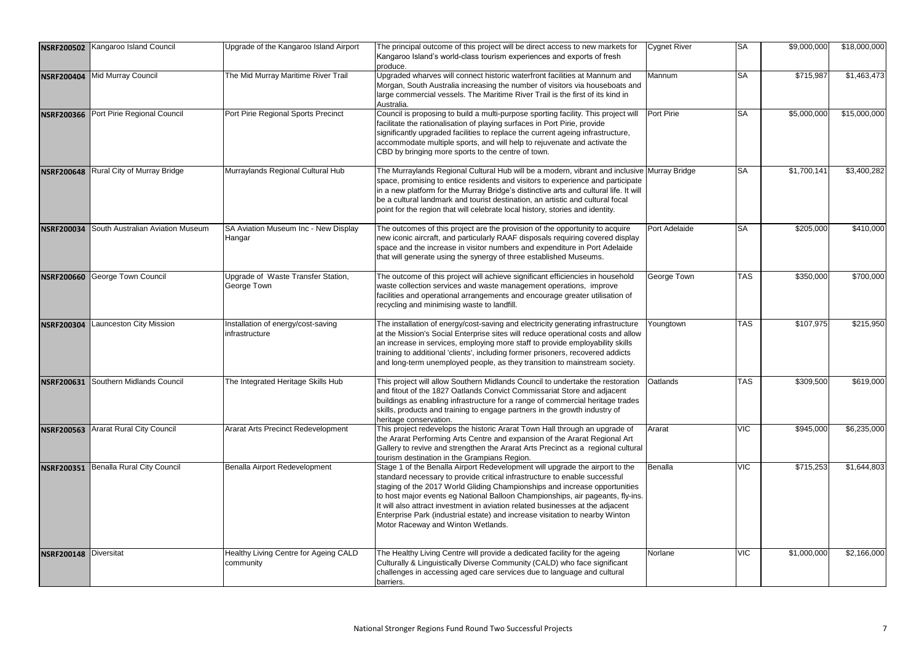|                   | NSRF200502 Kangaroo Island Council   | Upgrade of the Kangaroo Island Airport                    | The principal outcome of this project will be direct access to new markets for<br>Kangaroo Island's world-class tourism experiences and exports of fresh<br>produce.                                                                                                                                                                                                                                                                                                                                                               | Cygnet River  | <b>SA</b>  | \$9,000,000 | \$18,000,000 |
|-------------------|--------------------------------------|-----------------------------------------------------------|------------------------------------------------------------------------------------------------------------------------------------------------------------------------------------------------------------------------------------------------------------------------------------------------------------------------------------------------------------------------------------------------------------------------------------------------------------------------------------------------------------------------------------|---------------|------------|-------------|--------------|
|                   | NSRF200404 Mid Murray Council        | The Mid Murray Maritime River Trail                       | Upgraded wharves will connect historic waterfront facilities at Mannum and<br>Morgan, South Australia increasing the number of visitors via houseboats and<br>large commercial vessels. The Maritime River Trail is the first of its kind in<br>Australia.                                                                                                                                                                                                                                                                         | Mannum        | <b>SA</b>  | \$715,987   | \$1,463,473  |
| <b>NSRF200366</b> | Port Pirie Regional Council          | Port Pirie Regional Sports Precinct                       | Council is proposing to build a multi-purpose sporting facility. This project will<br>facilitate the rationalisation of playing surfaces in Port Pirie, provide<br>significantly upgraded facilities to replace the current ageing infrastructure,<br>accommodate multiple sports, and will help to rejuvenate and activate the<br>CBD by bringing more sports to the centre of town.                                                                                                                                              | Port Pirie    | <b>SA</b>  | \$5,000,000 | \$15,000,000 |
| <b>NSRF200648</b> | Rural City of Murray Bridge          | Murraylands Regional Cultural Hub                         | The Murraylands Regional Cultural Hub will be a modern, vibrant and inclusive Murray Bridge<br>space, promising to entice residents and visitors to experience and participate<br>in a new platform for the Murray Bridge's distinctive arts and cultural life. It will<br>be a cultural landmark and tourist destination, an artistic and cultural focal<br>point for the region that will celebrate local history, stories and identity.                                                                                         |               | <b>SA</b>  | \$1,700,141 | \$3,400,282  |
| <b>NSRF200034</b> | South Australian Aviation Museum     | SA Aviation Museum Inc - New Display<br>Hangar            | The outcomes of this project are the provision of the opportunity to acquire<br>new iconic aircraft, and particularly RAAF disposals requiring covered display<br>space and the increase in visitor numbers and expenditure in Port Adelaide<br>that will generate using the synergy of three established Museums.                                                                                                                                                                                                                 | Port Adelaide | <b>SA</b>  | \$205,000   | \$410,000    |
| <b>NSRF200660</b> | George Town Council                  | Upgrade of Waste Transfer Station,<br>George Town         | The outcome of this project will achieve significant efficiencies in household<br>waste collection services and waste management operations, improve<br>facilities and operational arrangements and encourage greater utilisation of<br>recycling and minimising waste to landfill.                                                                                                                                                                                                                                                | George Town   | <b>TAS</b> | \$350,000   | \$700,000    |
| <b>NSRF200304</b> | aunceston City Mission               | Installation of energy/cost-saving<br>infrastructure      | The installation of energy/cost-saving and electricity generating infrastructure<br>at the Mission's Social Enterprise sites will reduce operational costs and allow<br>an increase in services, employing more staff to provide employability skills<br>training to additional 'clients', including former prisoners, recovered addicts<br>and long-term unemployed people, as they transition to mainstream society.                                                                                                             | Youngtown     | <b>TAS</b> | \$107,975   | \$215,950    |
|                   | NSRF200631 Southern Midlands Council | The Integrated Heritage Skills Hub                        | This project will allow Southern Midlands Council to undertake the restoration<br>and fitout of the 1827 Oatlands Convict Commissariat Store and adjacent<br>buildings as enabling infrastructure for a range of commercial heritage trades<br>skills, products and training to engage partners in the growth industry of<br>heritage conservation.                                                                                                                                                                                | Oatlands      | <b>TAS</b> | \$309,500   | \$619,000    |
| <b>NSRF200563</b> | <b>Ararat Rural City Council</b>     | <b>Ararat Arts Precinct Redevelopment</b>                 | This project redevelops the historic Ararat Town Hall through an upgrade of<br>the Ararat Performing Arts Centre and expansion of the Ararat Regional Art<br>Gallery to revive and strengthen the Ararat Arts Precinct as a regional cultural<br>tourism destination in the Grampians Region.                                                                                                                                                                                                                                      | Ararat        | <b>VIC</b> | \$945,000   | \$6,235,000  |
| <b>NSRF200351</b> | Benalla Rural City Council           | Benalla Airport Redevelopment                             | Stage 1 of the Benalla Airport Redevelopment will upgrade the airport to the<br>standard necessary to provide critical infrastructure to enable successful<br>staging of the 2017 World Gliding Championships and increase opportunities<br>to host major events eg National Balloon Championships, air pageants, fly-ins.<br>It will also attract investment in aviation related businesses at the adjacent<br>Enterprise Park (industrial estate) and increase visitation to nearby Winton<br>Motor Raceway and Winton Wetlands. | Benalla       | <b>VIC</b> | \$715,253   | \$1,644,803  |
| <b>NSRF200148</b> | <b>Diversitat</b>                    | <b>Healthy Living Centre for Ageing CALD</b><br>community | The Healthy Living Centre will provide a dedicated facility for the ageing<br>Culturally & Linguistically Diverse Community (CALD) who face significant<br>challenges in accessing aged care services due to language and cultural<br>barriers.                                                                                                                                                                                                                                                                                    | Norlane       | <b>VIC</b> | \$1,000,000 | \$2,166,000  |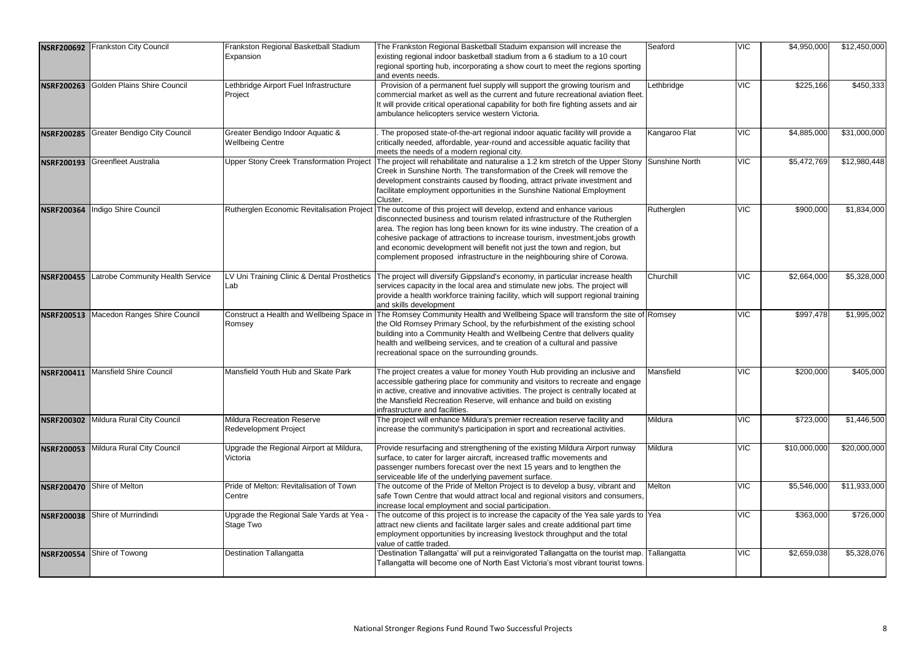| <b>NSRF200692</b> | <b>Frankston City Council</b>         | Frankston Regional Basketball Stadium<br>Expansion                | The Frankston Regional Basketball Staduim expansion will increase the<br>existing regional indoor basketball stadium from a 6 stadium to a 10 court<br>regional sporting hub, incorporating a show court to meet the regions sporting<br>and events needs.                                                                                                                                                                                                                | Seaford        | <b>VIC</b> | \$4,950,000  | \$12,450,000 |
|-------------------|---------------------------------------|-------------------------------------------------------------------|---------------------------------------------------------------------------------------------------------------------------------------------------------------------------------------------------------------------------------------------------------------------------------------------------------------------------------------------------------------------------------------------------------------------------------------------------------------------------|----------------|------------|--------------|--------------|
| <b>NSRF200263</b> | Golden Plains Shire Council           | Lethbridge Airport Fuel Infrastructure<br>Project                 | Provision of a permanent fuel supply will support the growing tourism and<br>commercial market as well as the current and future recreational aviation fleet.<br>It will provide critical operational capability for both fire fighting assets and air<br>ambulance helicopters service western Victoria.                                                                                                                                                                 | Lethbridge     | <b>VIC</b> | \$225,166    | \$450,333    |
| <b>NSRF200285</b> | <b>Greater Bendigo City Council</b>   | Greater Bendigo Indoor Aquatic &<br><b>Wellbeing Centre</b>       | The proposed state-of-the-art regional indoor aquatic facility will provide a<br>critically needed, affordable, year-round and accessible aquatic facility that<br>meets the needs of a modern regional city.                                                                                                                                                                                                                                                             | Kangaroo Flat  | <b>VIC</b> | \$4,885,000  | \$31,000,000 |
| <b>NSRF200193</b> | <b>Greenfleet Australia</b>           | <b>Upper Stony Creek Transformation Project</b>                   | The project will rehabilitate and naturalise a 1.2 km stretch of the Upper Stony<br>Creek in Sunshine North. The transformation of the Creek will remove the<br>development constraints caused by flooding, attract private investment and<br>facilitate employment opportunities in the Sunshine National Employment<br>Cluster.                                                                                                                                         | Sunshine North | <b>VIC</b> | \$5,472,769  | \$12,980,448 |
| <b>NSRF200364</b> | Indigo Shire Council                  | Rutherglen Economic Revitalisation Project                        | The outcome of this project will develop, extend and enhance various<br>disconnected business and tourism related infrastructure of the Rutherglen<br>area. The region has long been known for its wine industry. The creation of a<br>cohesive package of attractions to increase tourism, investment, jobs growth<br>and economic development will benefit not just the town and region, but<br>complement proposed infrastructure in the neighbouring shire of Corowa. | Rutherglen     | <b>VIC</b> | \$900,000    | \$1,834,000  |
| <b>NSRF200455</b> | _atrobe Community Health Service      | Lab                                                               | LV Uni Training Clinic & Dental Prosthetics The project will diversify Gippsland's economy, in particular increase health<br>services capacity in the local area and stimulate new jobs. The project will<br>provide a health workforce training facility, which will support regional training<br>and skills development                                                                                                                                                 | Churchill      | <b>VIC</b> | \$2,664,000  | \$5,328,000  |
| <b>NSRF200513</b> | Macedon Ranges Shire Council          | Construct a Health and Wellbeing Space in<br>Romsey               | The Romsey Community Health and Wellbeing Space will transform the site of Romsey<br>the Old Romsey Primary School, by the refurbishment of the existing school<br>building into a Community Health and Wellbeing Centre that delivers quality<br>health and wellbeing services, and te creation of a cultural and passive<br>recreational space on the surrounding grounds.                                                                                              |                | <b>VIC</b> | \$997,478    | \$1,995,002  |
| <b>NSRF200411</b> | <b>Mansfield Shire Council</b>        | Mansfield Youth Hub and Skate Park                                | The project creates a value for money Youth Hub providing an inclusive and<br>accessible gathering place for community and visitors to recreate and engage<br>in active, creative and innovative activities. The project is centrally located at<br>the Mansfield Recreation Reserve, will enhance and build on existing<br>infrastructure and facilities.                                                                                                                | Mansfield      | <b>VIC</b> | \$200,000    | \$405,000    |
|                   | NSRF200302 Mildura Rural City Council | <b>Mildura Recreation Reserve</b><br><b>Redevelopment Project</b> | The project will enhance Mildura's premier recreation reserve facility and<br>increase the community's participation in sport and recreational activities.                                                                                                                                                                                                                                                                                                                | Mildura        | <b>VIC</b> | \$723,000    | \$1,446,500  |
| <b>NSRF200053</b> | Mildura Rural City Council            | Upgrade the Regional Airport at Mildura,<br>Victoria              | Provide resurfacing and strengthening of the existing Mildura Airport runway<br>surface, to cater for larger aircraft, increased traffic movements and<br>passenger numbers forecast over the next 15 years and to lengthen the<br>serviceable life of the underlying pavement surface.                                                                                                                                                                                   | Mildura        | <b>VIC</b> | \$10,000,000 | \$20,000,000 |
|                   | NSRF200470 Shire of Melton            | Pride of Melton: Revitalisation of Town<br>Centre                 | The outcome of the Pride of Melton Project is to develop a busy, vibrant and<br>safe Town Centre that would attract local and regional visitors and consumers,<br>increase local employment and social participation.                                                                                                                                                                                                                                                     | Melton         | <b>VIC</b> | \$5,546,000  | \$11,933,000 |
| <b>NSRF200038</b> | Shire of Murrindindi                  | Upgrade the Regional Sale Yards at Yea -<br>Stage Two             | The outcome of this project is to increase the capacity of the Yea sale yards to Yea<br>attract new clients and facilitate larger sales and create additional part time<br>employment opportunities by increasing livestock throughput and the total<br>value of cattle traded.                                                                                                                                                                                           |                | <b>VIC</b> | \$363,000    | \$726,000    |
| <b>NSRF200554</b> | Shire of Towong                       | <b>Destination Tallangatta</b>                                    | 'Destination Tallangatta' will put a reinvigorated Tallangatta on the tourist map. Tallangatta<br>Tallangatta will become one of North East Victoria's most vibrant tourist towns.                                                                                                                                                                                                                                                                                        |                | <b>VIC</b> | \$2,659,038  | \$5,328,076  |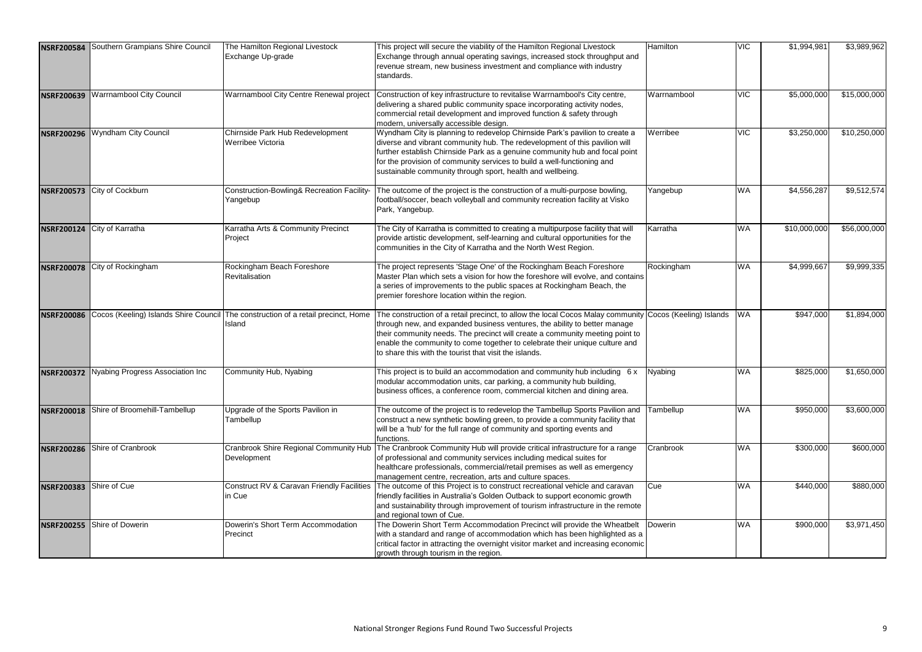| <b>NSRF200584</b>       | Southern Grampians Shire Council | The Hamilton Regional Livestock<br>Exchange Up-grade                                        | This project will secure the viability of the Hamilton Regional Livestock<br>Exchange through annual operating savings, increased stock throughput and<br>revenue stream, new business investment and compliance with industry<br>standards.                                                                                                                                                                  | Hamilton    | <b>VIC</b> | \$1,994,981  | \$3,989,962  |
|-------------------------|----------------------------------|---------------------------------------------------------------------------------------------|---------------------------------------------------------------------------------------------------------------------------------------------------------------------------------------------------------------------------------------------------------------------------------------------------------------------------------------------------------------------------------------------------------------|-------------|------------|--------------|--------------|
| <b>NSRF200639</b>       | <b>Warrnambool City Council</b>  | Warrnambool City Centre Renewal project                                                     | Construction of key infrastructure to revitalise Warrnambool's City centre,<br>delivering a shared public community space incorporating activity nodes,<br>commercial retail development and improved function & safety through<br>modern, universally accessible design.                                                                                                                                     | Warrnambool | <b>VIC</b> | \$5,000,000  | \$15,000,000 |
| <b>NSRF200296</b>       | <b>Wyndham City Council</b>      | Chirnside Park Hub Redevelopment<br>Werribee Victoria                                       | Wyndham City is planning to redevelop Chirnside Park's pavilion to create a<br>diverse and vibrant community hub. The redevelopment of this pavilion will<br>further establish Chirnside Park as a genuine community hub and focal point<br>for the provision of community services to build a well-functioning and<br>sustainable community through sport, health and wellbeing.                             | Werribee    | <b>VIC</b> | \$3,250,000  | \$10,250,000 |
| <b>NSRF200573</b>       | City of Cockburn                 | Construction-Bowling& Recreation Facility-<br>Yangebup                                      | The outcome of the project is the construction of a multi-purpose bowling,<br>football/soccer, beach volleyball and community recreation facility at Visko<br>Park, Yangebup.                                                                                                                                                                                                                                 | Yangebup    | <b>WA</b>  | \$4,556,287  | \$9,512,574  |
|                         | NSRF200124 City of Karratha      | Karratha Arts & Community Precinct<br>Project                                               | The City of Karratha is committed to creating a multipurpose facility that will<br>provide artistic development, self-learning and cultural opportunities for the<br>communities in the City of Karratha and the North West Region.                                                                                                                                                                           | Karratha    | <b>WA</b>  | \$10,000,000 | \$56,000,000 |
| <b>NSRF200078</b>       | City of Rockingham               | Rockingham Beach Foreshore<br>Revitalisation                                                | The project represents 'Stage One' of the Rockingham Beach Foreshore<br>Master Plan which sets a vision for how the foreshore will evolve, and contains<br>a series of improvements to the public spaces at Rockingham Beach, the<br>premier foreshore location within the region.                                                                                                                            | Rockingham  | <b>WA</b>  | \$4,999,667  | \$9,999,335  |
| <b>NSRF200086</b>       |                                  | Cocos (Keeling) Islands Shire Council The construction of a retail precinct, Home<br>Island | The construction of a retail precinct, to allow the local Cocos Malay community Cocos (Keeling) Islands<br>through new, and expanded business ventures, the ability to better manage<br>their community needs. The precinct will create a community meeting point to<br>enable the community to come together to celebrate their unique culture and<br>to share this with the tourist that visit the islands. |             | <b>WA</b>  | \$947,000    | \$1,894,000  |
| <b>NSRF200372</b>       | Nyabing Progress Association Inc | Community Hub, Nyabing                                                                      | This project is to build an accommodation and community hub including $6x$<br>modular accommodation units, car parking, a community hub building,<br>business offices, a conference room, commercial kitchen and dining area.                                                                                                                                                                                 | Nyabing     | <b>WA</b>  | \$825,000    | \$1,650,000  |
| <b>NSRF200018</b>       | Shire of Broomehill-Tambellup    | Upgrade of the Sports Pavilion in<br>Tambellup                                              | The outcome of the project is to redevelop the Tambellup Sports Pavilion and<br>construct a new synthetic bowling green, to provide a community facility that<br>will be a 'hub' for the full range of community and sporting events and<br>functions.                                                                                                                                                        | Tambellup   | <b>WA</b>  | \$950,000    | \$3,600,000  |
| <b>NSRF200286</b>       | Shire of Cranbrook               | Development                                                                                 | Cranbrook Shire Regional Community Hub   The Cranbrook Community Hub will provide critical infrastructure for a range<br>of professional and community services including medical suites for<br>healthcare professionals, commercial/retail premises as well as emergency<br>management centre, recreation, arts and culture spaces.                                                                          | Cranbrook   | <b>WA</b>  | \$300,000    | \$600,000    |
| NSRF200383 Shire of Cue |                                  | Construct RV & Caravan Friendly Facilities<br>in Cue                                        | The outcome of this Project is to construct recreational vehicle and caravan<br>friendly facilities in Australia's Golden Outback to support economic growth<br>and sustainability through improvement of tourism infrastructure in the remote<br>and regional town of Cue.                                                                                                                                   | Cue         | <b>WA</b>  | \$440,000    | \$880,000    |
| <b>NSRF200255</b>       | Shire of Dowerin                 | Dowerin's Short Term Accommodation<br>Precinct                                              | The Dowerin Short Term Accommodation Precinct will provide the Wheatbelt<br>with a standard and range of accommodation which has been highlighted as a<br>critical factor in attracting the overnight visitor market and increasing economic<br>growth through tourism in the region.                                                                                                                         | Dowerin     | <b>WA</b>  | \$900,000    | \$3,971,450  |